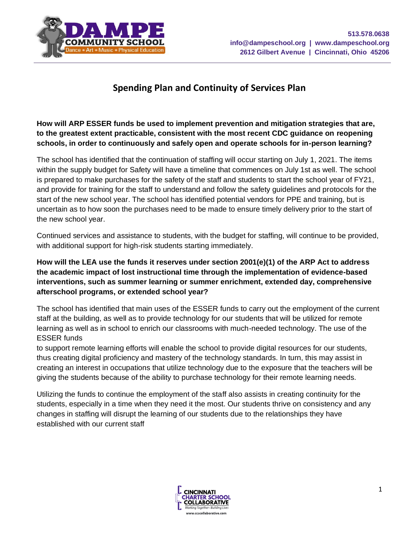

# **Spending Plan and Continuity of Services Plan**

**How will ARP ESSER funds be used to implement prevention and mitigation strategies that are, to the greatest extent practicable, consistent with the most recent CDC guidance on reopening schools, in order to continuously and safely open and operate schools for in-person learning?**

The school has identified that the continuation of staffing will occur starting on July 1, 2021. The items within the supply budget for Safety will have a timeline that commences on July 1st as well. The school is prepared to make purchases for the safety of the staff and students to start the school year of FY21, and provide for training for the staff to understand and follow the safety guidelines and protocols for the start of the new school year. The school has identified potential vendors for PPE and training, but is uncertain as to how soon the purchases need to be made to ensure timely delivery prior to the start of the new school year.

Continued services and assistance to students, with the budget for staffing, will continue to be provided, with additional support for high-risk students starting immediately.

**How will the LEA use the funds it reserves under section 2001(e)(1) of the ARP Act to address the academic impact of lost instructional time through the implementation of evidence-based interventions, such as summer learning or summer enrichment, extended day, comprehensive afterschool programs, or extended school year?**

The school has identified that main uses of the ESSER funds to carry out the employment of the current staff at the building, as well as to provide technology for our students that will be utilized for remote learning as well as in school to enrich our classrooms with much-needed technology. The use of the ESSER funds

to support remote learning efforts will enable the school to provide digital resources for our students, thus creating digital proficiency and mastery of the technology standards. In turn, this may assist in creating an interest in occupations that utilize technology due to the exposure that the teachers will be giving the students because of the ability to purchase technology for their remote learning needs.

Utilizing the funds to continue the employment of the staff also assists in creating continuity for the students, especially in a time when they need it the most. Our students thrive on consistency and any changes in staffing will disrupt the learning of our students due to the relationships they have established with our current staff

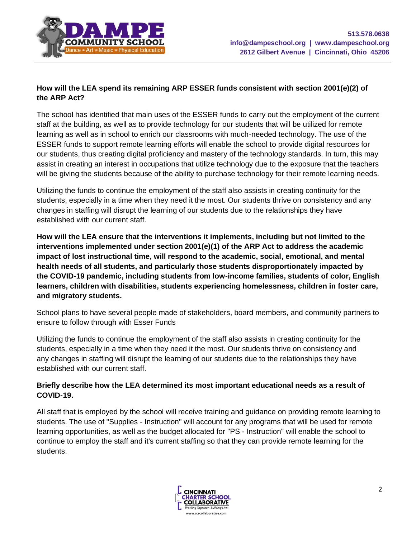

### **How will the LEA spend its remaining ARP ESSER funds consistent with section 2001(e)(2) of the ARP Act?**

The school has identified that main uses of the ESSER funds to carry out the employment of the current staff at the building, as well as to provide technology for our students that will be utilized for remote learning as well as in school to enrich our classrooms with much-needed technology. The use of the ESSER funds to support remote learning efforts will enable the school to provide digital resources for our students, thus creating digital proficiency and mastery of the technology standards. In turn, this may assist in creating an interest in occupations that utilize technology due to the exposure that the teachers will be giving the students because of the ability to purchase technology for their remote learning needs.

Utilizing the funds to continue the employment of the staff also assists in creating continuity for the students, especially in a time when they need it the most. Our students thrive on consistency and any changes in staffing will disrupt the learning of our students due to the relationships they have established with our current staff.

**How will the LEA ensure that the interventions it implements, including but not limited to the interventions implemented under section 2001(e)(1) of the ARP Act to address the academic impact of lost instructional time, will respond to the academic, social, emotional, and mental health needs of all students, and particularly those students disproportionately impacted by the COVID-19 pandemic, including students from low-income families, students of color, English learners, children with disabilities, students experiencing homelessness, children in foster care, and migratory students.**

School plans to have several people made of stakeholders, board members, and community partners to ensure to follow through with Esser Funds

Utilizing the funds to continue the employment of the staff also assists in creating continuity for the students, especially in a time when they need it the most. Our students thrive on consistency and any changes in staffing will disrupt the learning of our students due to the relationships they have established with our current staff.

### **Briefly describe how the LEA determined its most important educational needs as a result of COVID-19.**

All staff that is employed by the school will receive training and guidance on providing remote learning to students. The use of "Supplies - Instruction" will account for any programs that will be used for remote learning opportunities, as well as the budget allocated for "PS - Instruction" will enable the school to continue to employ the staff and it's current staffing so that they can provide remote learning for the students.